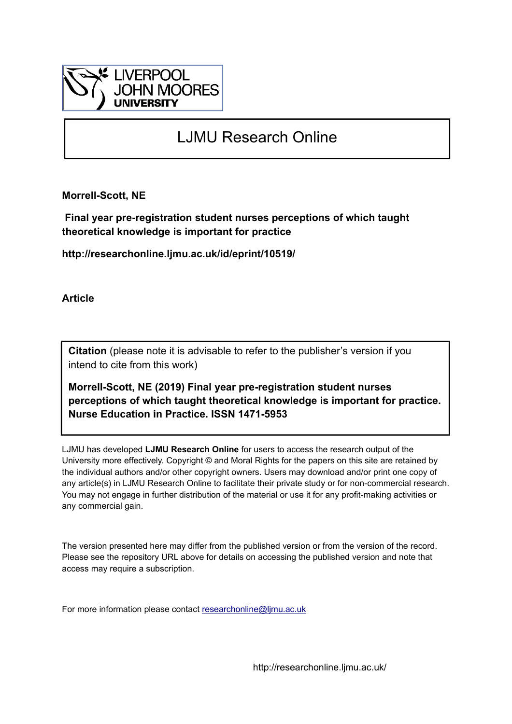

# LJMU Research Online

**Morrell-Scott, NE**

 **Final year pre-registration student nurses perceptions of which taught theoretical knowledge is important for practice**

**http://researchonline.ljmu.ac.uk/id/eprint/10519/**

**Article**

**Citation** (please note it is advisable to refer to the publisher's version if you intend to cite from this work)

**Morrell-Scott, NE (2019) Final year pre-registration student nurses perceptions of which taught theoretical knowledge is important for practice. Nurse Education in Practice. ISSN 1471-5953** 

LJMU has developed **[LJMU Research Online](http://researchonline.ljmu.ac.uk/)** for users to access the research output of the University more effectively. Copyright © and Moral Rights for the papers on this site are retained by the individual authors and/or other copyright owners. Users may download and/or print one copy of any article(s) in LJMU Research Online to facilitate their private study or for non-commercial research. You may not engage in further distribution of the material or use it for any profit-making activities or any commercial gain.

The version presented here may differ from the published version or from the version of the record. Please see the repository URL above for details on accessing the published version and note that access may require a subscription.

For more information please contact [researchonline@ljmu.ac.uk](mailto:researchonline@ljmu.ac.uk)

http://researchonline.ljmu.ac.uk/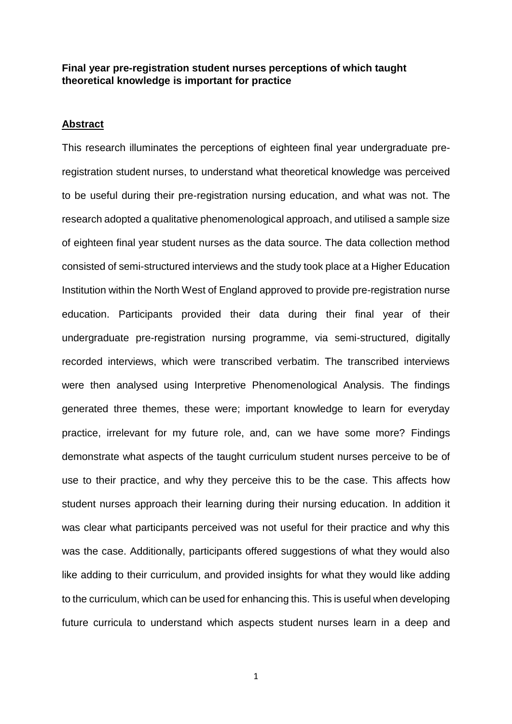# **Final year pre-registration student nurses perceptions of which taught theoretical knowledge is important for practice**

#### **Abstract**

This research illuminates the perceptions of eighteen final year undergraduate preregistration student nurses, to understand what theoretical knowledge was perceived to be useful during their pre-registration nursing education, and what was not. The research adopted a qualitative phenomenological approach, and utilised a sample size of eighteen final year student nurses as the data source. The data collection method consisted of semi-structured interviews and the study took place at a Higher Education Institution within the North West of England approved to provide pre-registration nurse education. Participants provided their data during their final year of their undergraduate pre-registration nursing programme, via semi-structured, digitally recorded interviews, which were transcribed verbatim. The transcribed interviews were then analysed using Interpretive Phenomenological Analysis. The findings generated three themes, these were; important knowledge to learn for everyday practice, irrelevant for my future role, and, can we have some more? Findings demonstrate what aspects of the taught curriculum student nurses perceive to be of use to their practice, and why they perceive this to be the case. This affects how student nurses approach their learning during their nursing education. In addition it was clear what participants perceived was not useful for their practice and why this was the case. Additionally, participants offered suggestions of what they would also like adding to their curriculum, and provided insights for what they would like adding to the curriculum, which can be used for enhancing this. This is useful when developing future curricula to understand which aspects student nurses learn in a deep and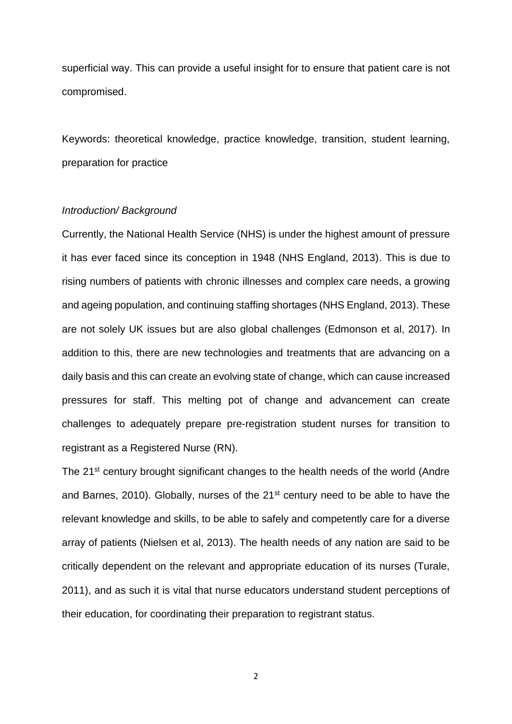superficial way. This can provide a useful insight for to ensure that patient care is not compromised.

Keywords: theoretical knowledge, practice knowledge, transition, student learning, preparation for practice

#### *Introduction/ Background*

Currently, the National Health Service (NHS) is under the highest amount of pressure it has ever faced since its conception in 1948 (NHS England, 2013). This is due to rising numbers of patients with chronic illnesses and complex care needs, a growing and ageing population, and continuing staffing shortages (NHS England, 2013). These are not solely UK issues but are also global challenges (Edmonson et al, 2017). In addition to this, there are new technologies and treatments that are advancing on a daily basis and this can create an evolving state of change, which can cause increased pressures for staff. This melting pot of change and advancement can create challenges to adequately prepare pre-registration student nurses for transition to registrant as a Registered Nurse (RN).

The 21<sup>st</sup> century brought significant changes to the health needs of the world (Andre and Barnes, 2010). Globally, nurses of the 21<sup>st</sup> century need to be able to have the relevant knowledge and skills, to be able to safely and competently care for a diverse array of patients (Nielsen et al, 2013). The health needs of any nation are said to be critically dependent on the relevant and appropriate education of its nurses (Turale, 2011), and as such it is vital that nurse educators understand student perceptions of their education, for coordinating their preparation to registrant status.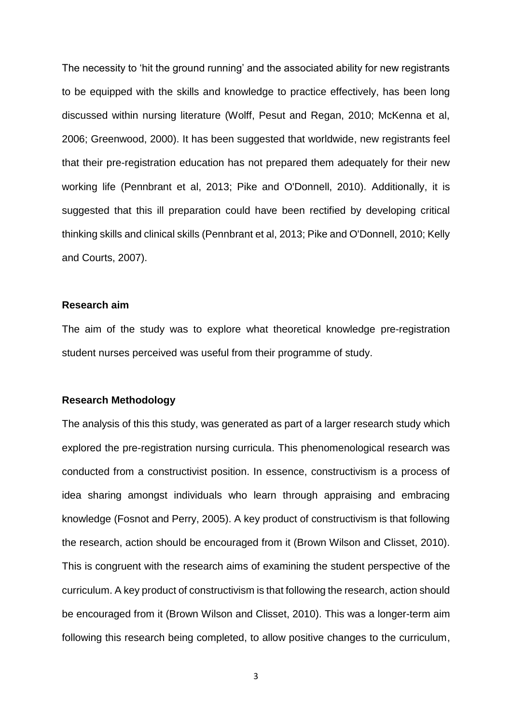The necessity to 'hit the ground running' and the associated ability for new registrants to be equipped with the skills and knowledge to practice effectively, has been long discussed within nursing literature (Wolff, Pesut and Regan, 2010; McKenna et al, 2006; Greenwood, 2000). It has been suggested that worldwide, new registrants feel that their pre-registration education has not prepared them adequately for their new working life (Pennbrant et al, 2013; Pike and O'Donnell, 2010). Additionally, it is suggested that this ill preparation could have been rectified by developing critical thinking skills and clinical skills (Pennbrant et al, 2013; Pike and O'Donnell, 2010; Kelly and Courts, 2007).

## **Research aim**

The aim of the study was to explore what theoretical knowledge pre-registration student nurses perceived was useful from their programme of study.

## **Research Methodology**

The analysis of this this study, was generated as part of a larger research study which explored the pre-registration nursing curricula. This phenomenological research was conducted from a constructivist position. In essence, constructivism is a process of idea sharing amongst individuals who learn through appraising and embracing knowledge (Fosnot and Perry, 2005). A key product of constructivism is that following the research, action should be encouraged from it (Brown Wilson and Clisset, 2010). This is congruent with the research aims of examining the student perspective of the curriculum. A key product of constructivism is that following the research, action should be encouraged from it (Brown Wilson and Clisset, 2010). This was a longer-term aim following this research being completed, to allow positive changes to the curriculum,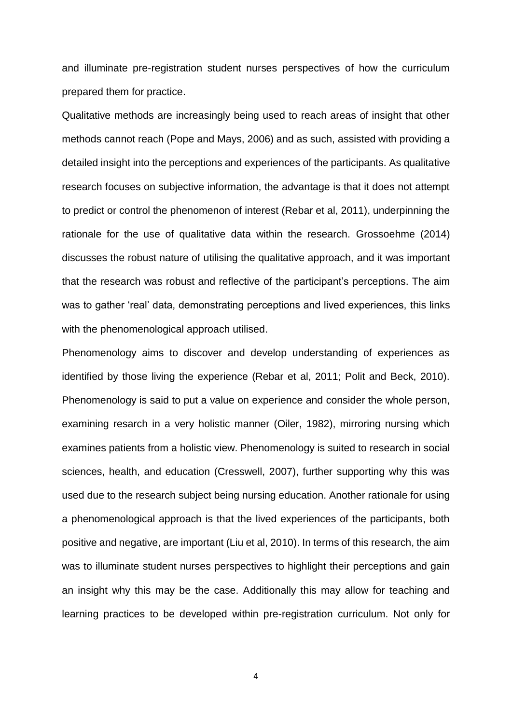and illuminate pre-registration student nurses perspectives of how the curriculum prepared them for practice.

Qualitative methods are increasingly being used to reach areas of insight that other methods cannot reach (Pope and Mays, 2006) and as such, assisted with providing a detailed insight into the perceptions and experiences of the participants. As qualitative research focuses on subjective information, the advantage is that it does not attempt to predict or control the phenomenon of interest (Rebar et al, 2011), underpinning the rationale for the use of qualitative data within the research. Grossoehme (2014) discusses the robust nature of utilising the qualitative approach, and it was important that the research was robust and reflective of the participant's perceptions. The aim was to gather 'real' data, demonstrating perceptions and lived experiences, this links with the phenomenological approach utilised.

Phenomenology aims to discover and develop understanding of experiences as identified by those living the experience (Rebar et al, 2011; Polit and Beck, 2010). Phenomenology is said to put a value on experience and consider the whole person, examining resarch in a very holistic manner (Oiler, 1982), mirroring nursing which examines patients from a holistic view. Phenomenology is suited to research in social sciences, health, and education (Cresswell, 2007), further supporting why this was used due to the research subject being nursing education. Another rationale for using a phenomenological approach is that the lived experiences of the participants, both positive and negative, are important (Liu et al, 2010). In terms of this research, the aim was to illuminate student nurses perspectives to highlight their perceptions and gain an insight why this may be the case. Additionally this may allow for teaching and learning practices to be developed within pre-registration curriculum. Not only for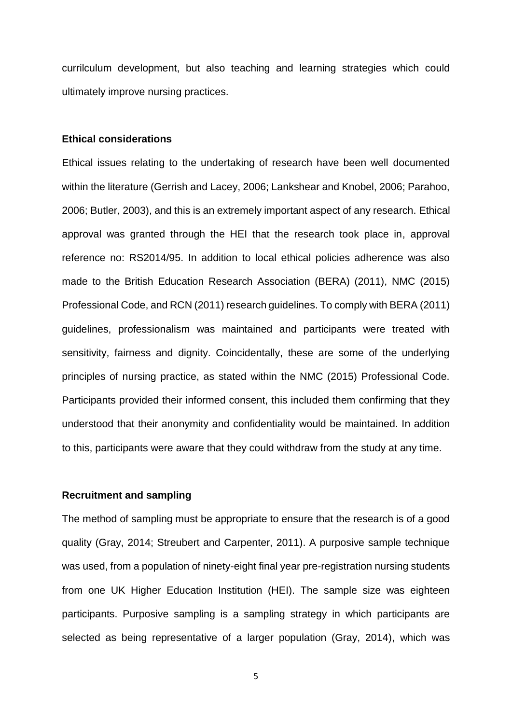currilculum development, but also teaching and learning strategies which could ultimately improve nursing practices.

## **Ethical considerations**

Ethical issues relating to the undertaking of research have been well documented within the literature (Gerrish and Lacey, 2006; Lankshear and Knobel, 2006; Parahoo, 2006; Butler, 2003), and this is an extremely important aspect of any research. Ethical approval was granted through the HEI that the research took place in, approval reference no: RS2014/95. In addition to local ethical policies adherence was also made to the British Education Research Association (BERA) (2011), NMC (2015) Professional Code, and RCN (2011) research guidelines. To comply with BERA (2011) guidelines, professionalism was maintained and participants were treated with sensitivity, fairness and dignity. Coincidentally, these are some of the underlying principles of nursing practice, as stated within the NMC (2015) Professional Code. Participants provided their informed consent, this included them confirming that they understood that their anonymity and confidentiality would be maintained. In addition to this, participants were aware that they could withdraw from the study at any time.

## **Recruitment and sampling**

The method of sampling must be appropriate to ensure that the research is of a good quality (Gray, 2014; Streubert and Carpenter, 2011). A purposive sample technique was used, from a population of ninety-eight final year pre-registration nursing students from one UK Higher Education Institution (HEI). The sample size was eighteen participants. Purposive sampling is a sampling strategy in which participants are selected as being representative of a larger population (Gray, 2014), which was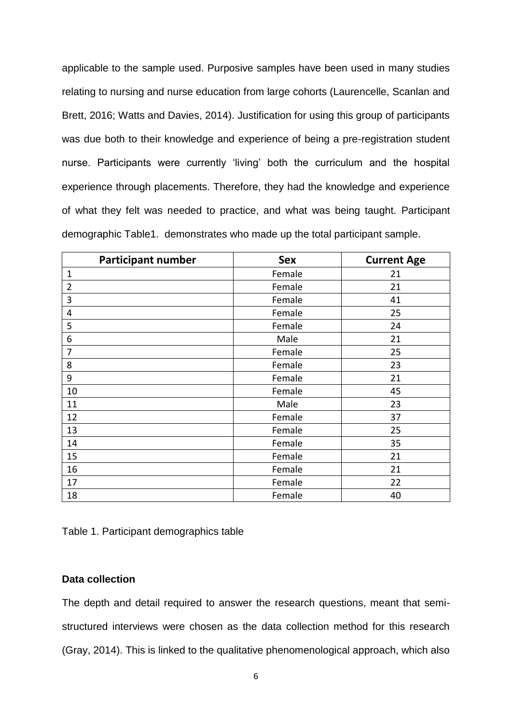applicable to the sample used. Purposive samples have been used in many studies relating to nursing and nurse education from large cohorts (Laurencelle, Scanlan and Brett, 2016; Watts and Davies, 2014). Justification for using this group of participants was due both to their knowledge and experience of being a pre-registration student nurse. Participants were currently 'living' both the curriculum and the hospital experience through placements. Therefore, they had the knowledge and experience of what they felt was needed to practice, and what was being taught. Participant demographic Table1. demonstrates who made up the total participant sample.

| <b>Participant number</b> | <b>Sex</b> | <b>Current Age</b> |
|---------------------------|------------|--------------------|
| $\mathbf{1}$              | Female     | 21                 |
| $\overline{2}$            | Female     | 21                 |
| 3                         | Female     | 41                 |
| 4                         | Female     | 25                 |
| 5                         | Female     | 24                 |
| 6                         | Male       | 21                 |
| 7                         | Female     | 25                 |
| 8                         | Female     | 23                 |
| 9                         | Female     | 21                 |
| 10                        | Female     | 45                 |
| 11                        | Male       | 23                 |
| 12                        | Female     | 37                 |
| 13                        | Female     | 25                 |
| 14                        | Female     | 35                 |
| 15                        | Female     | 21                 |
| 16                        | Female     | 21                 |
| 17                        | Female     | 22                 |
| 18                        | Female     | 40                 |

Table 1. Participant demographics table

# **Data collection**

The depth and detail required to answer the research questions, meant that semistructured interviews were chosen as the data collection method for this research (Gray, 2014). This is linked to the qualitative phenomenological approach, which also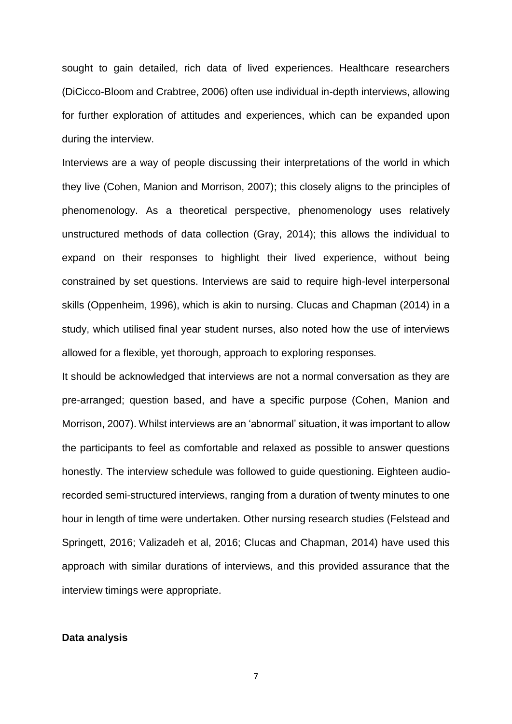sought to gain detailed, rich data of lived experiences. Healthcare researchers (DiCicco-Bloom and Crabtree, 2006) often use individual in-depth interviews, allowing for further exploration of attitudes and experiences, which can be expanded upon during the interview.

Interviews are a way of people discussing their interpretations of the world in which they live (Cohen, Manion and Morrison, 2007); this closely aligns to the principles of phenomenology. As a theoretical perspective, phenomenology uses relatively unstructured methods of data collection (Gray, 2014); this allows the individual to expand on their responses to highlight their lived experience, without being constrained by set questions. Interviews are said to require high-level interpersonal skills (Oppenheim, 1996), which is akin to nursing. Clucas and Chapman (2014) in a study, which utilised final year student nurses, also noted how the use of interviews allowed for a flexible, yet thorough, approach to exploring responses.

It should be acknowledged that interviews are not a normal conversation as they are pre-arranged; question based, and have a specific purpose (Cohen, Manion and Morrison, 2007). Whilst interviews are an 'abnormal' situation, it was important to allow the participants to feel as comfortable and relaxed as possible to answer questions honestly. The interview schedule was followed to guide questioning. Eighteen audiorecorded semi-structured interviews, ranging from a duration of twenty minutes to one hour in length of time were undertaken. Other nursing research studies (Felstead and Springett, 2016; Valizadeh et al, 2016; Clucas and Chapman, 2014) have used this approach with similar durations of interviews, and this provided assurance that the interview timings were appropriate.

## **Data analysis**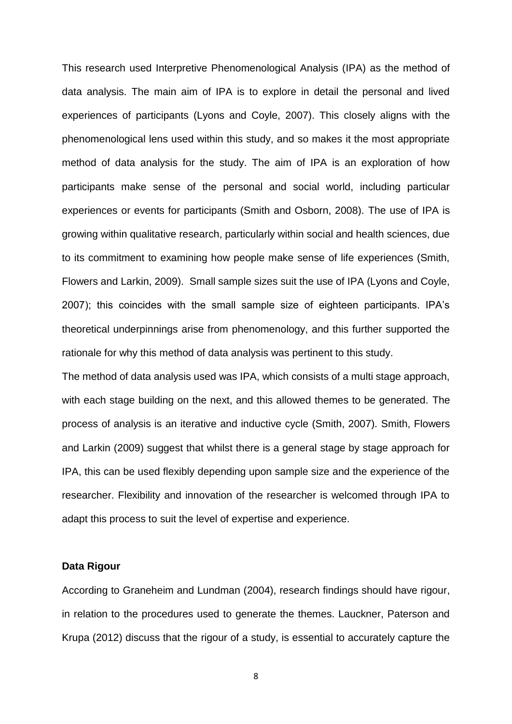This research used Interpretive Phenomenological Analysis (IPA) as the method of data analysis. The main aim of IPA is to explore in detail the personal and lived experiences of participants (Lyons and Coyle, 2007). This closely aligns with the phenomenological lens used within this study, and so makes it the most appropriate method of data analysis for the study. The aim of IPA is an exploration of how participants make sense of the personal and social world, including particular experiences or events for participants (Smith and Osborn, 2008). The use of IPA is growing within qualitative research, particularly within social and health sciences, due to its commitment to examining how people make sense of life experiences (Smith, Flowers and Larkin, 2009). Small sample sizes suit the use of IPA (Lyons and Coyle, 2007); this coincides with the small sample size of eighteen participants. IPA's theoretical underpinnings arise from phenomenology, and this further supported the rationale for why this method of data analysis was pertinent to this study.

The method of data analysis used was IPA, which consists of a multi stage approach, with each stage building on the next, and this allowed themes to be generated. The process of analysis is an iterative and inductive cycle (Smith, 2007). Smith, Flowers and Larkin (2009) suggest that whilst there is a general stage by stage approach for IPA, this can be used flexibly depending upon sample size and the experience of the researcher. Flexibility and innovation of the researcher is welcomed through IPA to adapt this process to suit the level of expertise and experience.

#### **Data Rigour**

According to Graneheim and Lundman (2004), research findings should have rigour, in relation to the procedures used to generate the themes. Lauckner, Paterson and Krupa (2012) discuss that the rigour of a study, is essential to accurately capture the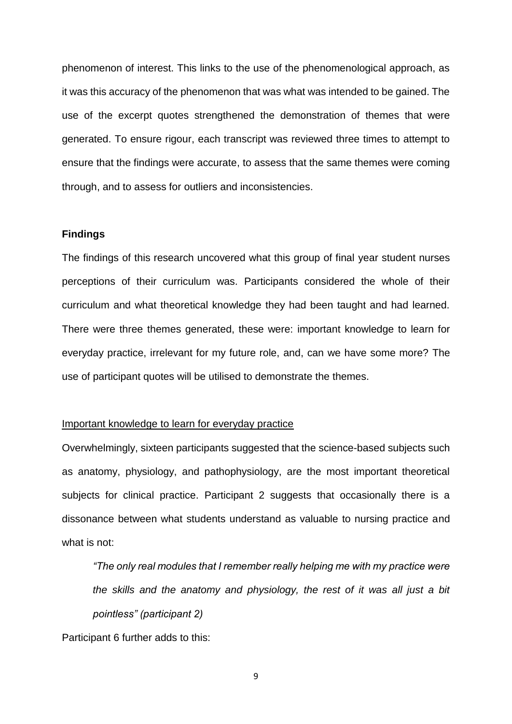phenomenon of interest. This links to the use of the phenomenological approach, as it was this accuracy of the phenomenon that was what was intended to be gained. The use of the excerpt quotes strengthened the demonstration of themes that were generated. To ensure rigour, each transcript was reviewed three times to attempt to ensure that the findings were accurate, to assess that the same themes were coming through, and to assess for outliers and inconsistencies.

## **Findings**

The findings of this research uncovered what this group of final year student nurses perceptions of their curriculum was. Participants considered the whole of their curriculum and what theoretical knowledge they had been taught and had learned. There were three themes generated, these were: important knowledge to learn for everyday practice, irrelevant for my future role, and, can we have some more? The use of participant quotes will be utilised to demonstrate the themes.

#### Important knowledge to learn for everyday practice

Overwhelmingly, sixteen participants suggested that the science-based subjects such as anatomy, physiology, and pathophysiology, are the most important theoretical subjects for clinical practice. Participant 2 suggests that occasionally there is a dissonance between what students understand as valuable to nursing practice and what is not:

*"The only real modules that I remember really helping me with my practice were the skills and the anatomy and physiology, the rest of it was all just a bit pointless" (participant 2)*

Participant 6 further adds to this: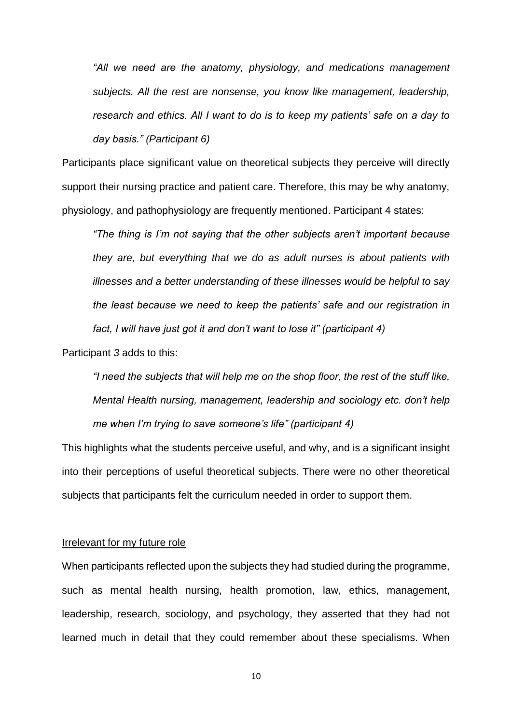*"All we need are the anatomy, physiology, and medications management subjects. All the rest are nonsense, you know like management, leadership, research and ethics. All I want to do is to keep my patients' safe on a day to day basis." (Participant 6)*

Participants place significant value on theoretical subjects they perceive will directly support their nursing practice and patient care. Therefore, this may be why anatomy, physiology, and pathophysiology are frequently mentioned. Participant 4 states:

*"The thing is I'm not saying that the other subjects aren't important because they are, but everything that we do as adult nurses is about patients with illnesses and a better understanding of these illnesses would be helpful to say the least because we need to keep the patients' safe and our registration in fact, I will have just got it and don't want to lose it" (participant 4)*

Participant *3* adds to this:

*"I need the subjects that will help me on the shop floor, the rest of the stuff like, Mental Health nursing, management, leadership and sociology etc. don't help me when I'm trying to save someone's life" (participant 4)*

This highlights what the students perceive useful, and why, and is a significant insight into their perceptions of useful theoretical subjects. There were no other theoretical subjects that participants felt the curriculum needed in order to support them.

#### Irrelevant for my future role

When participants reflected upon the subjects they had studied during the programme, such as mental health nursing, health promotion, law, ethics, management, leadership, research, sociology, and psychology, they asserted that they had not learned much in detail that they could remember about these specialisms. When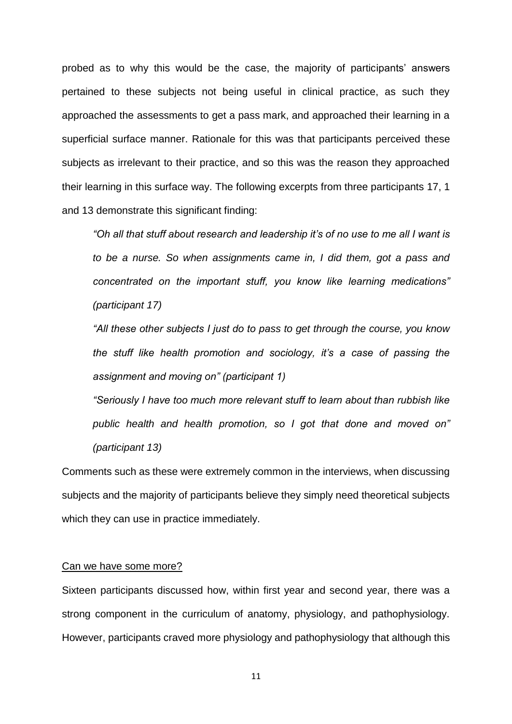probed as to why this would be the case, the majority of participants' answers pertained to these subjects not being useful in clinical practice, as such they approached the assessments to get a pass mark, and approached their learning in a superficial surface manner. Rationale for this was that participants perceived these subjects as irrelevant to their practice, and so this was the reason they approached their learning in this surface way. The following excerpts from three participants 17, 1 and 13 demonstrate this significant finding:

*"Oh all that stuff about research and leadership it's of no use to me all I want is to be a nurse. So when assignments came in, I did them, got a pass and concentrated on the important stuff, you know like learning medications" (participant 17)*

*"All these other subjects I just do to pass to get through the course, you know the stuff like health promotion and sociology, it's a case of passing the assignment and moving on" (participant 1)*

*"Seriously I have too much more relevant stuff to learn about than rubbish like public health and health promotion, so I got that done and moved on" (participant 13)* 

Comments such as these were extremely common in the interviews, when discussing subjects and the majority of participants believe they simply need theoretical subjects which they can use in practice immediately.

#### Can we have some more?

Sixteen participants discussed how, within first year and second year, there was a strong component in the curriculum of anatomy, physiology, and pathophysiology. However, participants craved more physiology and pathophysiology that although this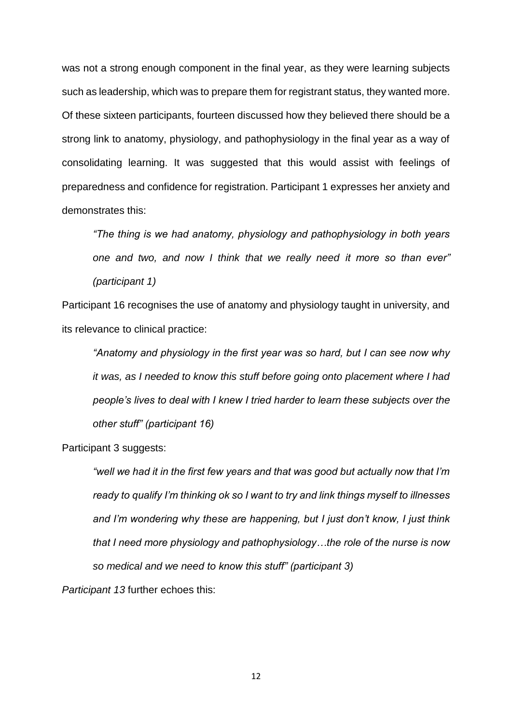was not a strong enough component in the final year, as they were learning subjects such as leadership, which was to prepare them for registrant status, they wanted more. Of these sixteen participants, fourteen discussed how they believed there should be a strong link to anatomy, physiology, and pathophysiology in the final year as a way of consolidating learning. It was suggested that this would assist with feelings of preparedness and confidence for registration. Participant 1 expresses her anxiety and demonstrates this:

*"The thing is we had anatomy, physiology and pathophysiology in both years one and two, and now I think that we really need it more so than ever" (participant 1)*

Participant 16 recognises the use of anatomy and physiology taught in university, and its relevance to clinical practice:

*"Anatomy and physiology in the first year was so hard, but I can see now why it was, as I needed to know this stuff before going onto placement where I had people's lives to deal with I knew I tried harder to learn these subjects over the other stuff" (participant 16)*

Participant 3 suggests:

*"well we had it in the first few years and that was good but actually now that I'm ready to qualify I'm thinking ok so I want to try and link things myself to illnesses and I'm wondering why these are happening, but I just don't know, I just think that I need more physiology and pathophysiology…the role of the nurse is now so medical and we need to know this stuff" (participant 3)*

*Participant 13* further echoes this: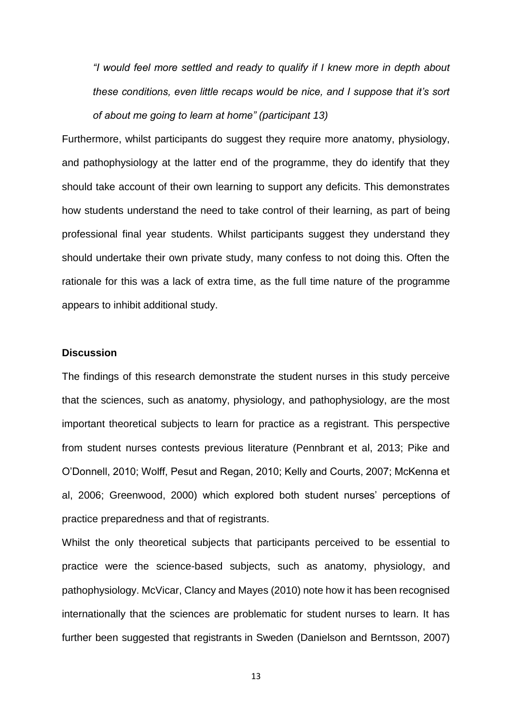*"I would feel more settled and ready to qualify if I knew more in depth about these conditions, even little recaps would be nice, and I suppose that it's sort of about me going to learn at home" (participant 13)*

Furthermore, whilst participants do suggest they require more anatomy, physiology, and pathophysiology at the latter end of the programme, they do identify that they should take account of their own learning to support any deficits. This demonstrates how students understand the need to take control of their learning, as part of being professional final year students. Whilst participants suggest they understand they should undertake their own private study, many confess to not doing this. Often the rationale for this was a lack of extra time, as the full time nature of the programme appears to inhibit additional study.

## **Discussion**

The findings of this research demonstrate the student nurses in this study perceive that the sciences, such as anatomy, physiology, and pathophysiology, are the most important theoretical subjects to learn for practice as a registrant. This perspective from student nurses contests previous literature (Pennbrant et al, 2013; Pike and O'Donnell, 2010; Wolff, Pesut and Regan, 2010; Kelly and Courts, 2007; McKenna et al, 2006; Greenwood, 2000) which explored both student nurses' perceptions of practice preparedness and that of registrants.

Whilst the only theoretical subjects that participants perceived to be essential to practice were the science-based subjects, such as anatomy, physiology, and pathophysiology. McVicar, Clancy and Mayes (2010) note how it has been recognised internationally that the sciences are problematic for student nurses to learn. It has further been suggested that registrants in Sweden (Danielson and Berntsson, 2007)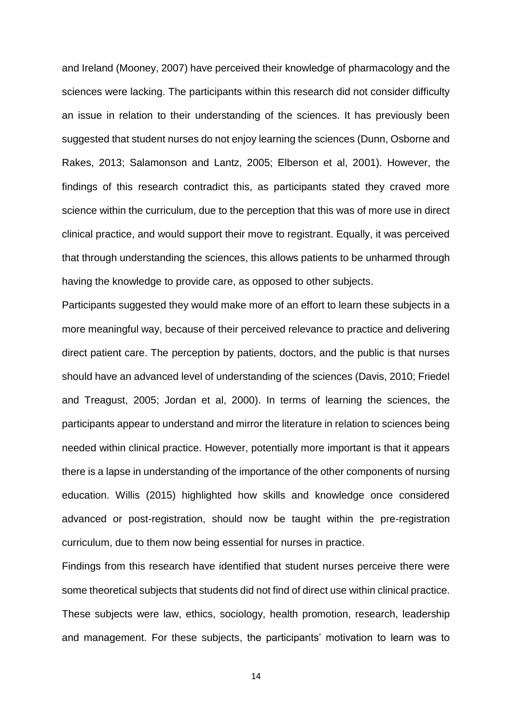and Ireland (Mooney, 2007) have perceived their knowledge of pharmacology and the sciences were lacking. The participants within this research did not consider difficulty an issue in relation to their understanding of the sciences. It has previously been suggested that student nurses do not enjoy learning the sciences (Dunn, Osborne and Rakes, 2013; Salamonson and Lantz, 2005; Elberson et al, 2001). However, the findings of this research contradict this, as participants stated they craved more science within the curriculum, due to the perception that this was of more use in direct clinical practice, and would support their move to registrant. Equally, it was perceived that through understanding the sciences, this allows patients to be unharmed through having the knowledge to provide care, as opposed to other subjects.

Participants suggested they would make more of an effort to learn these subjects in a more meaningful way, because of their perceived relevance to practice and delivering direct patient care. The perception by patients, doctors, and the public is that nurses should have an advanced level of understanding of the sciences (Davis, 2010; Friedel and Treagust, 2005; Jordan et al, 2000). In terms of learning the sciences, the participants appear to understand and mirror the literature in relation to sciences being needed within clinical practice. However, potentially more important is that it appears there is a lapse in understanding of the importance of the other components of nursing education. Willis (2015) highlighted how skills and knowledge once considered advanced or post-registration, should now be taught within the pre-registration curriculum, due to them now being essential for nurses in practice.

Findings from this research have identified that student nurses perceive there were some theoretical subjects that students did not find of direct use within clinical practice. These subjects were law, ethics, sociology, health promotion, research, leadership and management. For these subjects, the participants' motivation to learn was to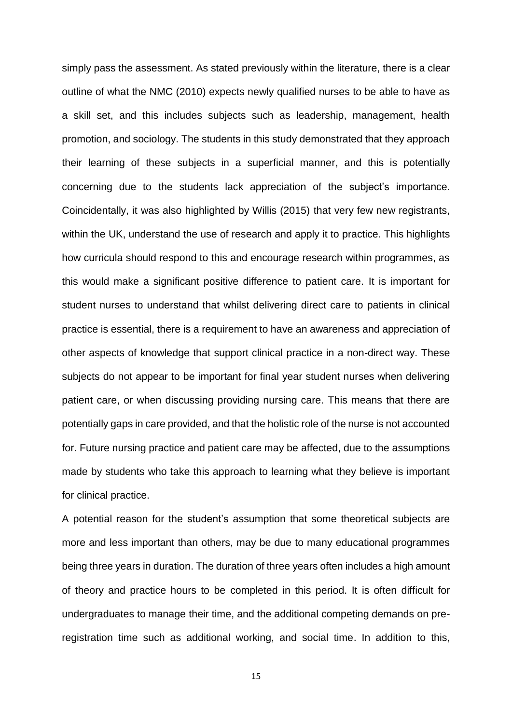simply pass the assessment. As stated previously within the literature, there is a clear outline of what the NMC (2010) expects newly qualified nurses to be able to have as a skill set, and this includes subjects such as leadership, management, health promotion, and sociology. The students in this study demonstrated that they approach their learning of these subjects in a superficial manner, and this is potentially concerning due to the students lack appreciation of the subject's importance. Coincidentally, it was also highlighted by Willis (2015) that very few new registrants, within the UK, understand the use of research and apply it to practice. This highlights how curricula should respond to this and encourage research within programmes, as this would make a significant positive difference to patient care. It is important for student nurses to understand that whilst delivering direct care to patients in clinical practice is essential, there is a requirement to have an awareness and appreciation of other aspects of knowledge that support clinical practice in a non-direct way. These subjects do not appear to be important for final year student nurses when delivering patient care, or when discussing providing nursing care. This means that there are potentially gaps in care provided, and that the holistic role of the nurse is not accounted for. Future nursing practice and patient care may be affected, due to the assumptions made by students who take this approach to learning what they believe is important for clinical practice.

A potential reason for the student's assumption that some theoretical subjects are more and less important than others, may be due to many educational programmes being three years in duration. The duration of three years often includes a high amount of theory and practice hours to be completed in this period. It is often difficult for undergraduates to manage their time, and the additional competing demands on preregistration time such as additional working, and social time. In addition to this,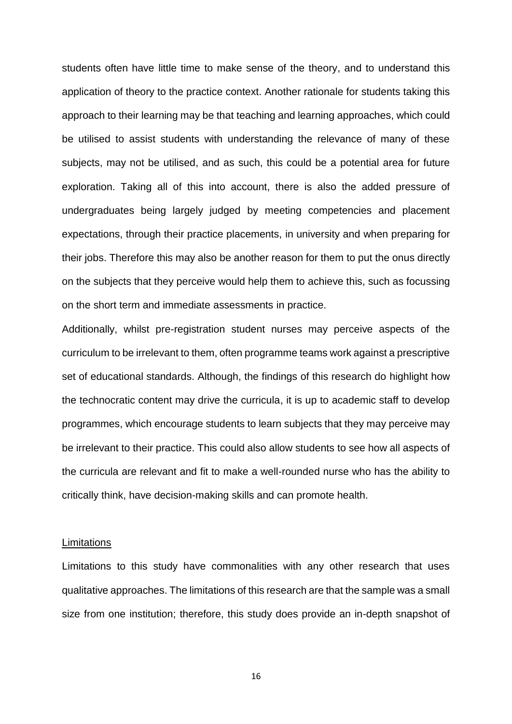students often have little time to make sense of the theory, and to understand this application of theory to the practice context. Another rationale for students taking this approach to their learning may be that teaching and learning approaches, which could be utilised to assist students with understanding the relevance of many of these subjects, may not be utilised, and as such, this could be a potential area for future exploration. Taking all of this into account, there is also the added pressure of undergraduates being largely judged by meeting competencies and placement expectations, through their practice placements, in university and when preparing for their jobs. Therefore this may also be another reason for them to put the onus directly on the subjects that they perceive would help them to achieve this, such as focussing on the short term and immediate assessments in practice.

Additionally, whilst pre-registration student nurses may perceive aspects of the curriculum to be irrelevant to them, often programme teams work against a prescriptive set of educational standards. Although, the findings of this research do highlight how the technocratic content may drive the curricula, it is up to academic staff to develop programmes, which encourage students to learn subjects that they may perceive may be irrelevant to their practice. This could also allow students to see how all aspects of the curricula are relevant and fit to make a well-rounded nurse who has the ability to critically think, have decision-making skills and can promote health.

#### **Limitations**

Limitations to this study have commonalities with any other research that uses qualitative approaches. The limitations of this research are that the sample was a small size from one institution; therefore, this study does provide an in-depth snapshot of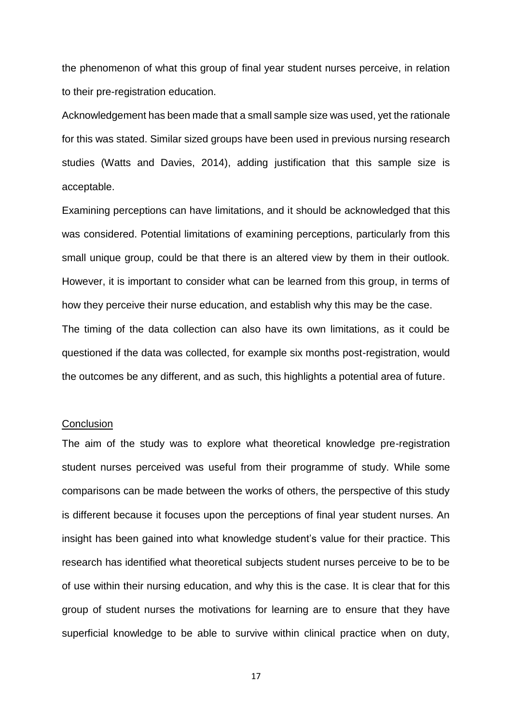the phenomenon of what this group of final year student nurses perceive, in relation to their pre-registration education.

Acknowledgement has been made that a small sample size was used, yet the rationale for this was stated. Similar sized groups have been used in previous nursing research studies (Watts and Davies, 2014), adding justification that this sample size is acceptable.

Examining perceptions can have limitations, and it should be acknowledged that this was considered. Potential limitations of examining perceptions, particularly from this small unique group, could be that there is an altered view by them in their outlook. However, it is important to consider what can be learned from this group, in terms of how they perceive their nurse education, and establish why this may be the case. The timing of the data collection can also have its own limitations, as it could be questioned if the data was collected, for example six months post-registration, would the outcomes be any different, and as such, this highlights a potential area of future.

#### **Conclusion**

The aim of the study was to explore what theoretical knowledge pre-registration student nurses perceived was useful from their programme of study. While some comparisons can be made between the works of others, the perspective of this study is different because it focuses upon the perceptions of final year student nurses. An insight has been gained into what knowledge student's value for their practice. This research has identified what theoretical subjects student nurses perceive to be to be of use within their nursing education, and why this is the case. It is clear that for this group of student nurses the motivations for learning are to ensure that they have superficial knowledge to be able to survive within clinical practice when on duty,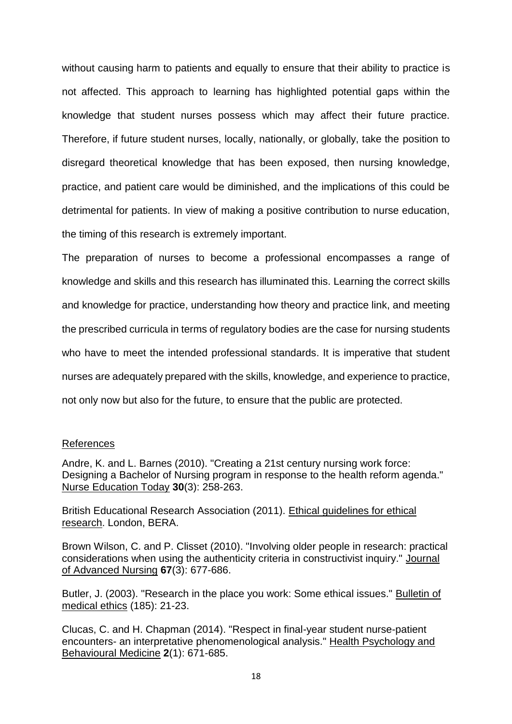without causing harm to patients and equally to ensure that their ability to practice is not affected. This approach to learning has highlighted potential gaps within the knowledge that student nurses possess which may affect their future practice. Therefore, if future student nurses, locally, nationally, or globally, take the position to disregard theoretical knowledge that has been exposed, then nursing knowledge, practice, and patient care would be diminished, and the implications of this could be detrimental for patients. In view of making a positive contribution to nurse education, the timing of this research is extremely important.

The preparation of nurses to become a professional encompasses a range of knowledge and skills and this research has illuminated this. Learning the correct skills and knowledge for practice, understanding how theory and practice link, and meeting the prescribed curricula in terms of regulatory bodies are the case for nursing students who have to meet the intended professional standards. It is imperative that student nurses are adequately prepared with the skills, knowledge, and experience to practice, not only now but also for the future, to ensure that the public are protected.

## References

Andre, K. and L. Barnes (2010). "Creating a 21st century nursing work force: Designing a Bachelor of Nursing program in response to the health reform agenda." Nurse Education Today **30**(3): 258-263.

British Educational Research Association (2011). Ethical guidelines for ethical research. London, BERA.

Brown Wilson, C. and P. Clisset (2010). "Involving older people in research: practical considerations when using the authenticity criteria in constructivist inquiry." Journal of Advanced Nursing **67**(3): 677-686.

Butler, J. (2003). "Research in the place you work: Some ethical issues." Bulletin of medical ethics (185): 21-23.

Clucas, C. and H. Chapman (2014). "Respect in final-year student nurse-patient encounters- an interpretative phenomenological analysis." Health Psychology and Behavioural Medicine **2**(1): 671-685.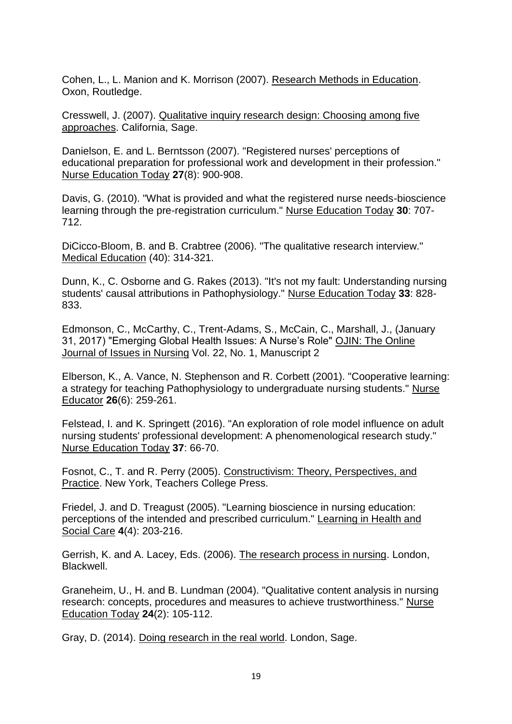Cohen, L., L. Manion and K. Morrison (2007). Research Methods in Education. Oxon, Routledge.

Cresswell, J. (2007). Qualitative inquiry research design: Choosing among five approaches. California, Sage.

Danielson, E. and L. Berntsson (2007). "Registered nurses' perceptions of educational preparation for professional work and development in their profession." Nurse Education Today **27**(8): 900-908.

Davis, G. (2010). "What is provided and what the registered nurse needs-bioscience learning through the pre-registration curriculum." Nurse Education Today **30**: 707- 712.

DiCicco-Bloom, B. and B. Crabtree (2006). "The qualitative research interview." Medical Education (40): 314-321.

Dunn, K., C. Osborne and G. Rakes (2013). "It's not my fault: Understanding nursing students' causal attributions in Pathophysiology." Nurse Education Today **33**: 828- 833.

Edmonson, C., McCarthy, C., Trent-Adams, S., McCain, C., Marshall, J., (January 31, 2017) "Emerging Global Health Issues: A Nurse's Role" OJIN: The Online Journal of Issues in Nursing Vol. 22, No. 1, Manuscript 2

Elberson, K., A. Vance, N. Stephenson and R. Corbett (2001). "Cooperative learning: a strategy for teaching Pathophysiology to undergraduate nursing students." Nurse Educator **26**(6): 259-261.

Felstead, I. and K. Springett (2016). "An exploration of role model influence on adult nursing students' professional development: A phenomenological research study." Nurse Education Today **37**: 66-70.

Fosnot, C., T. and R. Perry (2005). Constructivism: Theory, Perspectives, and Practice. New York, Teachers College Press.

Friedel, J. and D. Treagust (2005). "Learning bioscience in nursing education: perceptions of the intended and prescribed curriculum." Learning in Health and Social Care **4**(4): 203-216.

Gerrish, K. and A. Lacey, Eds. (2006). The research process in nursing. London, Blackwell.

Graneheim, U., H. and B. Lundman (2004). "Qualitative content analysis in nursing research: concepts, procedures and measures to achieve trustworthiness." Nurse Education Today **24**(2): 105-112.

Gray, D. (2014). Doing research in the real world. London, Sage.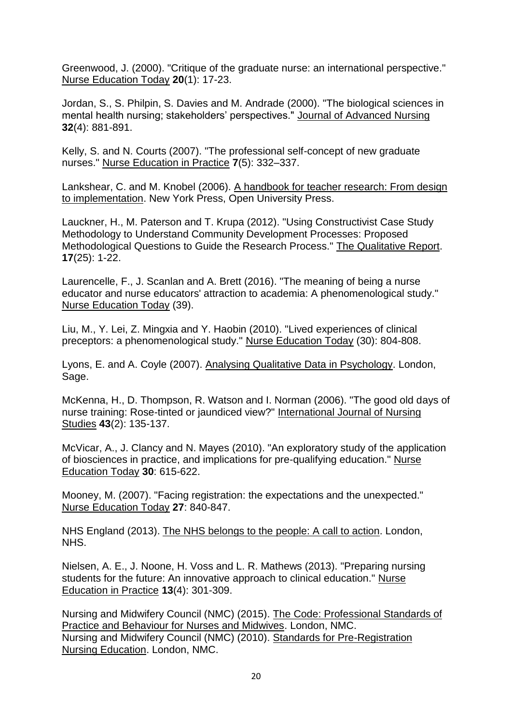Greenwood, J. (2000). "Critique of the graduate nurse: an international perspective." Nurse Education Today **20**(1): 17-23.

Jordan, S., S. Philpin, S. Davies and M. Andrade (2000). "The biological sciences in mental health nursing; stakeholders' perspectives." Journal of Advanced Nursing **32**(4): 881-891.

Kelly, S. and N. Courts (2007). "The professional self-concept of new graduate nurses." Nurse Education in Practice **7**(5): 332–337.

Lankshear, C. and M. Knobel (2006). A handbook for teacher research: From design to implementation. New York Press, Open University Press.

Lauckner, H., M. Paterson and T. Krupa (2012). "Using Constructivist Case Study Methodology to Understand Community Development Processes: Proposed Methodological Questions to Guide the Research Process." The Qualitative Report. **17**(25): 1-22.

Laurencelle, F., J. Scanlan and A. Brett (2016). "The meaning of being a nurse educator and nurse educators' attraction to academia: A phenomenological study." Nurse Education Today (39).

Liu, M., Y. Lei, Z. Mingxia and Y. Haobin (2010). "Lived experiences of clinical preceptors: a phenomenological study." Nurse Education Today (30): 804-808.

Lyons, E. and A. Coyle (2007). Analysing Qualitative Data in Psychology. London, Sage.

McKenna, H., D. Thompson, R. Watson and I. Norman (2006). "The good old days of nurse training: Rose-tinted or jaundiced view?" International Journal of Nursing Studies **43**(2): 135-137.

McVicar, A., J. Clancy and N. Mayes (2010). "An exploratory study of the application of biosciences in practice, and implications for pre-qualifying education." Nurse Education Today **30**: 615-622.

Mooney, M. (2007). "Facing registration: the expectations and the unexpected." Nurse Education Today **27**: 840-847.

NHS England (2013). The NHS belongs to the people: A call to action. London, NHS.

Nielsen, A. E., J. Noone, H. Voss and L. R. Mathews (2013). "Preparing nursing students for the future: An innovative approach to clinical education." Nurse Education in Practice **13**(4): 301-309.

Nursing and Midwifery Council (NMC) (2015). The Code: Professional Standards of Practice and Behaviour for Nurses and Midwives. London, NMC. Nursing and Midwifery Council (NMC) (2010). Standards for Pre-Registration Nursing Education. London, NMC.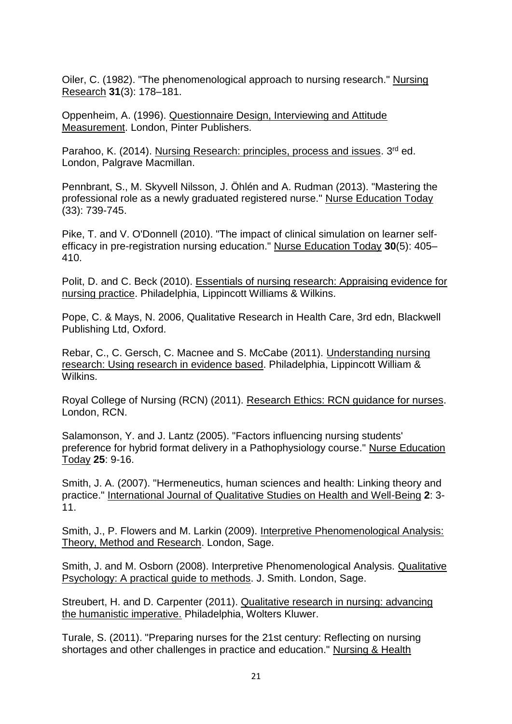Oiler, C. (1982). "The phenomenological approach to nursing research." Nursing Research **31**(3): 178–181.

Oppenheim, A. (1996). Questionnaire Design, Interviewing and Attitude Measurement. London, Pinter Publishers.

Parahoo, K. (2014). Nursing Research: principles, process and issues. 3<sup>rd</sup> ed. London, Palgrave Macmillan.

Pennbrant, S., M. Skyvell Nilsson, J. Öhlén and A. Rudman (2013). "Mastering the professional role as a newly graduated registered nurse." Nurse Education Today (33): 739-745.

Pike, T. and V. O'Donnell (2010). "The impact of clinical simulation on learner selfefficacy in pre-registration nursing education." Nurse Education Today **30**(5): 405– 410.

Polit, D. and C. Beck (2010). Essentials of nursing research: Appraising evidence for nursing practice. Philadelphia, Lippincott Williams & Wilkins.

Pope, C. & Mays, N. 2006, Qualitative Research in Health Care, 3rd edn, Blackwell Publishing Ltd, Oxford.

Rebar, C., C. Gersch, C. Macnee and S. McCabe (2011). Understanding nursing research: Using research in evidence based. Philadelphia, Lippincott William & Wilkins.

Royal College of Nursing (RCN) (2011). Research Ethics: RCN guidance for nurses. London, RCN.

Salamonson, Y. and J. Lantz (2005). "Factors influencing nursing students' preference for hybrid format delivery in a Pathophysiology course." Nurse Education Today **25**: 9-16.

Smith, J. A. (2007). "Hermeneutics, human sciences and health: Linking theory and practice." International Journal of Qualitative Studies on Health and Well-Being **2**: 3- 11.

Smith, J., P. Flowers and M. Larkin (2009). Interpretive Phenomenological Analysis: Theory, Method and Research. London, Sage.

Smith, J. and M. Osborn (2008). Interpretive Phenomenological Analysis. Qualitative Psychology: A practical guide to methods. J. Smith. London, Sage.

Streubert, H. and D. Carpenter (2011). Qualitative research in nursing: advancing the humanistic imperative. Philadelphia, Wolters Kluwer.

Turale, S. (2011). "Preparing nurses for the 21st century: Reflecting on nursing shortages and other challenges in practice and education." Nursing & Health